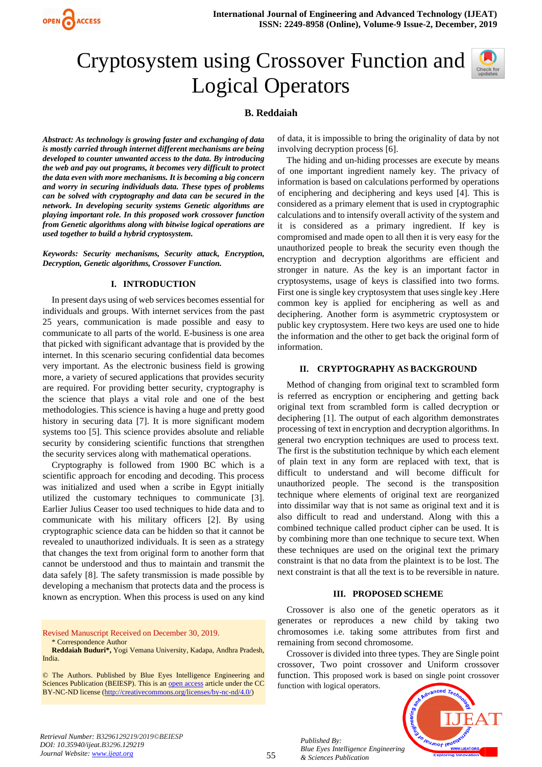

# Cryptosystem using Crossover Function and Logical Operators



# **B. Reddaiah**

*Abstract: As technology is growing faster and exchanging of data is mostly carried through internet different mechanisms are being developed to counter unwanted access to the data. By introducing the web and pay out programs, it becomes very difficult to protect the data even with more mechanisms. It is becoming a big concern and worry in securing individuals data. These types of problems can be solved with cryptography and data can be secured in the network. In developing security systems Genetic algorithms are playing important role. In this proposed work crossover function from Genetic algorithms along with bitwise logical operations are used together to build a hybrid cryptosystem.*

*Keywords: Security mechanisms, Security attack, Encryption, Decryption, Genetic algorithms, Crossover Function.* 

#### **I. INTRODUCTION**

In present days using of web services becomes essential for individuals and groups. With internet services from the past 25 years, communication is made possible and easy to communicate to all parts of the world. E-business is one area that picked with significant advantage that is provided by the internet. In this scenario securing confidential data becomes very important. As the electronic business field is growing more, a variety of secured applications that provides security are required. For providing better security, cryptography is the science that plays a vital role and one of the best methodologies. This science is having a huge and pretty good history in securing data [7]. It is more significant modem systems too [5]. This science provides absolute and reliable security by considering scientific functions that strengthen the security services along with mathematical operations.

Cryptography is followed from 1900 BC which is a scientific approach for encoding and decoding. This process was initialized and used when a scribe in Egypt initially utilized the customary techniques to communicate [3]. Earlier Julius Ceaser too used techniques to hide data and to communicate with his military officers [2]. By using cryptographic science data can be hidden so that it cannot be revealed to unauthorized individuals. It is seen as a strategy that changes the text from original form to another form that cannot be understood and thus to maintain and transmit the data safely [8]. The safety transmission is made possible by developing a mechanism that protects data and the process is known as encryption. When this process is used on any kind

Revised Manuscript Received on December 30, 2019. \* Correspondence Author

**Reddaiah Buduri\*,** Yogi Vemana University, Kadapa, Andhra Pradesh, India.

© The Authors. Published by Blue Eyes Intelligence Engineering and Sciences Publication (BEIESP). This is a[n open access](https://www.openaccess.nl/en/open-publications) article under the CC BY-NC-ND license [\(http://creativecommons.org/licenses/by-nc-nd/4.0/\)](http://creativecommons.org/licenses/by-nc-nd/4.0/)

of data, it is impossible to bring the originality of data by not involving decryption process [6].

The hiding and un-hiding processes are execute by means of one important ingredient namely key. The privacy of information is based on calculations performed by operations of enciphering and deciphering and keys used [4]. This is considered as a primary element that is used in cryptographic calculations and to intensify overall activity of the system and it is considered as a primary ingredient. If key is compromised and made open to all then it is very easy for the unauthorized people to break the security even though the encryption and decryption algorithms are efficient and stronger in nature. As the key is an important factor in cryptosystems, usage of keys is classified into two forms. First one is single key cryptosystem that uses single key .Here common key is applied for enciphering as well as and deciphering. Another form is asymmetric cryptosystem or public key cryptosystem. Here two keys are used one to hide the information and the other to get back the original form of information.

#### **II. CRYPTOGRAPHY AS BACKGROUND**

Method of changing from original text to scrambled form is referred as encryption or enciphering and getting back original text from scrambled form is called decryption or deciphering [1]. The output of each algorithm demonstrates processing of text in encryption and decryption algorithms. In general two encryption techniques are used to process text. The first is the substitution technique by which each element of plain text in any form are replaced with text, that is difficult to understand and will become difficult for unauthorized people. The second is the transposition technique where elements of original text are reorganized into dissimilar way that is not same as original text and it is also difficult to read and understand. Along with this a combined technique called product cipher can be used. It is by combining more than one technique to secure text. When these techniques are used on the original text the primary constraint is that no data from the plaintext is to be lost. The next constraint is that all the text is to be reversible in nature.

#### **III. PROPOSED SCHEME**

Crossover is also one of the genetic operators as it generates or reproduces a new child by taking two chromosomes i.e. taking some attributes from first and remaining from second chromosome.

Crossover is divided into three types. They are Single point crossover, Two point crossover and Uniform crossover function. This proposed work is based on single point crossover function with logical operators.



*Retrieval Number: B3296129219/2019©BEIESP DOI: 10.35940/ijeat.B3296.129219 Journal Website[: www.ijeat.org](http://www.ijeat.org/)*

55

*Published By:*

*& Sciences Publication*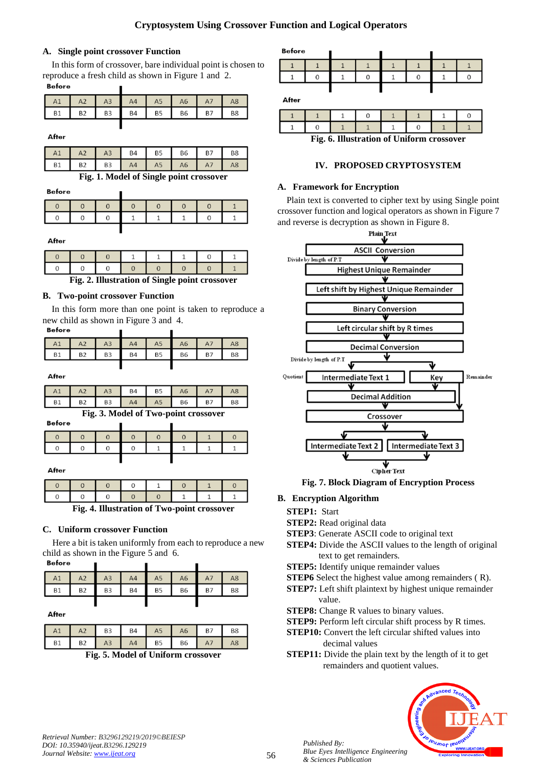# **A. Single point crossover Function**

In this form of crossover, bare individual point is chosen to reproduce a fresh child as shown in Figure 1 and 2. **Before** 

| A | A2             | A3             | A4        | A <sub>5</sub> | A6        |           | А٤ |
|---|----------------|----------------|-----------|----------------|-----------|-----------|----|
|   | B <sub>2</sub> | B <sub>3</sub> | <b>B4</b> | B5             | <b>B6</b> | <b>B7</b> | B8 |
|   |                |                |           |                |           |           |    |

After

| B7 B8<br>A1<br>B4   B5   B6<br>A2<br>A3           |  |  |  |  |
|---------------------------------------------------|--|--|--|--|
|                                                   |  |  |  |  |
| B3 A4 A5 A6<br>AB<br><b>B1</b><br>A7<br><b>B2</b> |  |  |  |  |

**Fig. 1. Model of Single point crossover**

**Before** 

#### After

**Fig. 2. Illustration of Single point crossover**

# **B. Two-point crossover Function**

In this form more than one point is taken to reproduce a new child as shown in Figure 3 and 4.

#### **Before**

| A1        | A2        | A3             | A4        | A <sub>5</sub> | A6        | <b>A7</b> | A <sub>8</sub> |
|-----------|-----------|----------------|-----------|----------------|-----------|-----------|----------------|
| <b>B1</b> | <b>B2</b> | B <sub>3</sub> | <b>B4</b> | <b>B5</b>      | <b>B6</b> | <b>B7</b> | B8             |
|           |           |                |           |                |           |           |                |

After

| A1        | A2        | A <sub>3</sub> | <b>B4</b> | <b>B5</b>      | A6        | A7 | A8             |
|-----------|-----------|----------------|-----------|----------------|-----------|----|----------------|
| <b>B1</b> | <b>B2</b> | B <sub>3</sub> | A4        | A <sub>5</sub> | <b>B6</b> | B7 | B <sub>8</sub> |

**Fig. 3. Model of Two-point crossover**

| perore |  |  |  |  |
|--------|--|--|--|--|
|        |  |  |  |  |
|        |  |  |  |  |
|        |  |  |  |  |

After

|  |  | Fig. 4. Illustration of Two point erossayor |  |  |
|--|--|---------------------------------------------|--|--|
|  |  |                                             |  |  |
|  |  |                                             |  |  |

**Fig. 4. Illustration of Two-point crossover**

# **C. Uniform crossover Function**

Here a bit is taken uniformly from each to reproduce a new child as shown in the Figure 5 and 6.

| <b>Deine</b> |           |                |           |                |                |           |                |
|--------------|-----------|----------------|-----------|----------------|----------------|-----------|----------------|
| A1           | A2        | A <sub>3</sub> | A4        | A <sub>5</sub> | A <sub>6</sub> | A7        | A <sub>8</sub> |
| <b>B1</b>    | <b>B2</b> | B <sub>3</sub> | <b>B4</b> | <b>B5</b>      | <b>B6</b>      | <b>B7</b> | B <sub>8</sub> |
|              |           |                |           |                |                |           |                |

#### After

| Ηı | A2             | B <sub>3</sub> | B <sub>4</sub> | A <sub>5</sub> | A6        | B <sup>-</sup> | B8 |
|----|----------------|----------------|----------------|----------------|-----------|----------------|----|
| B1 | B <sub>2</sub> | A <sub>3</sub> | A4             | B <sub>5</sub> | <b>B6</b> |                | A8 |

**Fig. 5. Model of Uniform crossover**

| <b>Before</b>                             |  |  |  |  |  |  |  |  |  |  |
|-------------------------------------------|--|--|--|--|--|--|--|--|--|--|
|                                           |  |  |  |  |  |  |  |  |  |  |
|                                           |  |  |  |  |  |  |  |  |  |  |
| After                                     |  |  |  |  |  |  |  |  |  |  |
|                                           |  |  |  |  |  |  |  |  |  |  |
|                                           |  |  |  |  |  |  |  |  |  |  |
| Fig. 6. Illustration of Uniform crossover |  |  |  |  |  |  |  |  |  |  |

# **IV. PROPOSED CRYPTOSYSTEM**

# **A. Framework for Encryption**

Plain text is converted to cipher text by using Single point crossover function and logical operators as shown in Figure 7 and reverse is decryption as shown in Figure 8.



**Fig. 7. Block Diagram of Encryption Process**

# **B. Encryption Algorithm**

- **STEP1:** Start
- **STEP2:** Read original data
- **STEP3**: Generate ASCII code to original text
- **STEP4:** Divide the ASCII values to the length of original text to get remainders.
- **STEP5:** Identify unique remainder values
- **STEP6** Select the highest value among remainders (R).
- **STEP7:** Left shift plaintext by highest unique remainder value.
- **STEP8:** Change R values to binary values.
- **STEP9:** Perform left circular shift process by R times.
- **STEP10:** Convert the left circular shifted values into decimal values
- **STEP11:** Divide the plain text by the length of it to get remainders and quotient values.

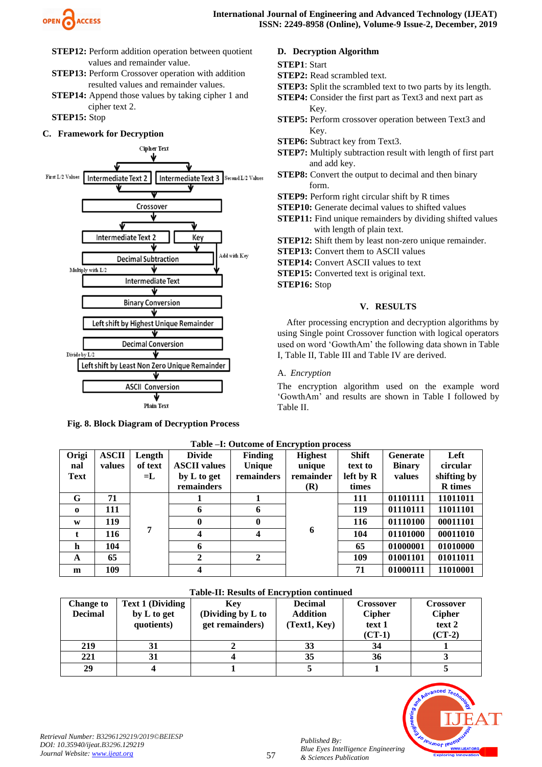

- **STEP12:** Perform addition operation between quotient values and remainder value.
- **STEP13:** Perform Crossover operation with addition resulted values and remainder values.
- **STEP14:** Append those values by taking cipher 1 and cipher text 2.

**STEP15:** Stop

# **C. Framework for Decryption**



**Fig. 8. Block Diagram of Decryption Process**

# **D. Decryption Algorithm**

- **STEP1**: Start
- **STEP2:** Read scrambled text.
- **STEP3:** Split the scrambled text to two parts by its length.
- **STEP4:** Consider the first part as Text3 and next part as Key.
- **STEP5:** Perform crossover operation between Text3 and Key.
- **STEP6:** Subtract key from Text3.
- **STEP7:** Multiply subtraction result with length of first part and add key.
- **STEP8:** Convert the output to decimal and then binary form.
- **STEP9:** Perform right circular shift by R times
- **STEP10:** Generate decimal values to shifted values
- **STEP11:** Find unique remainders by dividing shifted values with length of plain text.
- **STEP12:** Shift them by least non-zero unique remainder.
- **STEP13:** Convert them to ASCII values
- **STEP14:** Convert ASCII values to text
- **STEP15:** Converted text is original text.
- **STEP16:** Stop

# **V. RESULTS**

After processing encryption and decryption algorithms by using Single point Crossover function with logical operators used on word 'GowthAm' the following data shown in Table I, Table II, Table III and Table IV are derived.

# A. *Encryption*

The encryption algorithm used on the example word 'GowthAm' and results are shown in Table I followed by Table II.

|             |              |         |                         | Table -I: Outcome of Encryption process |                |              |                 |                |
|-------------|--------------|---------|-------------------------|-----------------------------------------|----------------|--------------|-----------------|----------------|
| Origi       | <b>ASCII</b> | Length  | <b>Divide</b>           | <b>Finding</b>                          | <b>Highest</b> | <b>Shift</b> | <b>Generate</b> | Left           |
| nal         | values       | of text | <b>ASCII</b> values     | Unique                                  | unique         | text to      | <b>Binary</b>   | circular       |
| <b>Text</b> |              | $=L$    | by L to get             | remainders                              | remainder      | left by $R$  | values          | shifting by    |
|             |              |         | remainders              |                                         | (R)            | times        |                 | <b>R</b> times |
| G           | 71           |         |                         |                                         |                | 111          | 01101111        | 11011011       |
| $\Omega$    | 111          |         | 6                       | 6                                       |                | 119          | 01110111        | 11011101       |
| W           | 119          |         | $\bf{0}$                | $\bf{0}$                                |                | 116          | 01110100        | 00011101       |
|             | 116          | 7       | $\overline{\mathbf{4}}$ | $\overline{\mathbf{4}}$                 | 6              | 104          | 01101000        | 00011010       |
| h           | 104          |         | 6                       |                                         |                | 65           | 01000001        | 01010000       |
| A           | 65           |         | $\mathbf{2}$            | $\mathbf{2}$                            |                | 109          | 01001101        | 01011011       |
| m           | 109          |         | 4                       |                                         |                | 71           | 01000111        | 11010001       |

| <b>Table-II: Results of Encryption continued</b> |                         |                   |                 |                  |                  |  |  |
|--------------------------------------------------|-------------------------|-------------------|-----------------|------------------|------------------|--|--|
| <b>Change to</b>                                 | <b>Text 1 (Dividing</b> | Kev               | <b>Decimal</b>  | <b>Crossover</b> | <b>Crossover</b> |  |  |
| <b>Decimal</b>                                   | by L to get             | (Dividing by L to | <b>Addition</b> | <b>Cipher</b>    | <b>Cipher</b>    |  |  |
|                                                  | quotients)              | get remainders)   | (Text1, Key)    | text 1           | text 2           |  |  |
|                                                  |                         |                   |                 | $(CT-1)$         | $(CT-2)$         |  |  |
| 219                                              | 31                      |                   | 33              | 34               |                  |  |  |
| 221                                              | 31                      |                   | 35              | 36               |                  |  |  |
| 29                                               |                         |                   |                 |                  |                  |  |  |



*Retrieval Number: B3296129219/2019©BEIESP DOI: 10.35940/ijeat.B3296.129219 Journal Website[: www.ijeat.org](http://www.ijeat.org/)*

*Published By:*

*& Sciences Publication*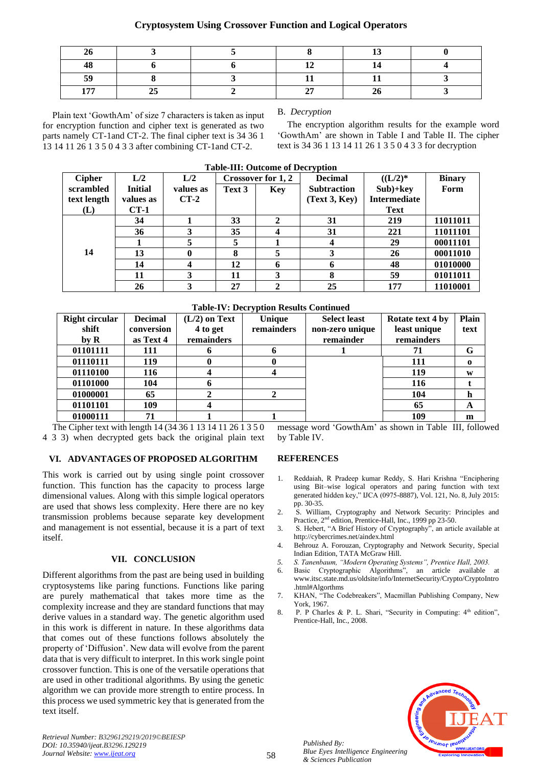# **Cryptosystem Using Crossover Function and Logical Operators**

| $\overline{ }$ |  |  |  |
|----------------|--|--|--|
| cο             |  |  |  |
| $\blacksquare$ |  |  |  |

Plain text 'GowthAm' of size 7 characters is taken as input for encryption function and cipher text is generated as two parts namely CT-1and CT-2. The final cipher text is 34 36 1 13 14 11 26 1 3 5 0 4 3 3 after combining CT-1and CT-2.

#### B. *Decryption*

The encryption algorithm results for the example word 'GowthAm' are shown in Table I and Table II. The cipher text is 34 36 1 13 14 11 26 1 3 5 0 4 3 3 for decryption

| <b>Table-III: Outcome of Decryption</b> |                |           |                           |            |                    |                     |               |
|-----------------------------------------|----------------|-----------|---------------------------|------------|--------------------|---------------------|---------------|
| <b>Cipher</b>                           | L/2            | L/2       | <b>Crossover for 1, 2</b> |            | <b>Decimal</b>     | $((L/2)*$           | <b>Binary</b> |
| scrambled                               | <b>Initial</b> | values as | Text 3                    | <b>Key</b> | <b>Subtraction</b> | $Sub)+key$          | Form          |
| text length                             | values as      | $CT-2$    |                           |            | (Text 3, Key)      | <b>Intermediate</b> |               |
| $(\mathbf{L})$                          | $CT-1$         |           |                           |            |                    | <b>Text</b>         |               |
|                                         | 34             |           | 33                        | 2          | 31                 | 219                 | 11011011      |
|                                         | 36             | 3         | 35                        | 4          | 31                 | 221                 | 11011101      |
|                                         |                | 5         | 5                         |            | 4                  | 29                  | 00011101      |
| 14                                      | 13             | 0         | 8                         | 5          | 3                  | 26                  | 00011010      |
|                                         | 14             | 4         | 12                        | 6          | 6                  | 48                  | 01010000      |
|                                         | 11             | 3         | 11                        | 3          | 8                  | 59                  | 01011011      |
|                                         | 26             | 3         | 27                        | 2          | 25                 | 177                 | 11010001      |

#### **Table-IV: Decryption Results Continued**

| <b>Right circular</b> | <b>Decimal</b> | $(L/2)$ on Text | Table 17: Deel y puoli Results Collunaeu<br>Unique | <b>Select least</b> | Rotate text 4 by | Plain    |
|-----------------------|----------------|-----------------|----------------------------------------------------|---------------------|------------------|----------|
| shift                 | conversion     | 4 to get        | remainders                                         | non-zero unique     | least unique     | text     |
| by $R$                | as Text 4      | remainders      |                                                    | remainder           | remainders       |          |
| 01101111              | 111            | o               |                                                    |                     | 71               | G        |
| 01110111              | 119            |                 |                                                    |                     | 111              | $\bf{0}$ |
| 01110100              | 116            |                 |                                                    |                     | 119              | W        |
| 01101000              | 104            | n               |                                                    |                     | 116              |          |
| 01000001              | 65             |                 |                                                    |                     | 104              | h        |
| 01101101              | 109            |                 |                                                    |                     | 65               | A        |
| 01000111              | 71             |                 |                                                    |                     | 109              | m        |

The Cipher text with length 14 (34 36 1 13 14 11 26 1 3 5 0 4 3 3) when decrypted gets back the original plain text

#### **VI. ADVANTAGES OF PROPOSED ALGORITHM**

This work is carried out by using single point crossover function. This function has the capacity to process large dimensional values. Along with this simple logical operators are used that shows less complexity. Here there are no key transmission problems because separate key development and management is not essential, because it is a part of text itself.

#### **VII. CONCLUSION**

Different algorithms from the past are being used in building cryptosystems like paring functions. Functions like paring are purely mathematical that takes more time as the complexity increase and they are standard functions that may derive values in a standard way. The genetic algorithm used in this work is different in nature. In these algorithms data that comes out of these functions follows absolutely the property of 'Diffusion'. New data will evolve from the parent data that is very difficult to interpret. In this work single point crossover function. This is one of the versatile operations that are used in other traditional algorithms. By using the genetic algorithm we can provide more strength to entire process. In this process we used symmetric key that is generated from the text itself.

#### **REFERENCES**

by Table IV.

1. Reddaiah, R Pradeep kumar Reddy, S. Hari Krishna "Enciphering using Bit–wise logical operators and paring function with text generated hidden key," IJCA (0975-8887), Vol. 121, No. 8, July 2015: pp. 30-35.

message word 'GowthAm' as shown in Table III, followed

- 2. S. William, Cryptography and Network Security: Principles and Practice, 2nd edition, Prentice-Hall, Inc., 1999 pp 23-50.
- 3. S. Hebert, "A Brief History of Cryptography", an article available at http://cybercrimes.net/aindex.html
- 4. Behrouz A. Forouzan, Cryptography and Network Security, Special Indian Edition, TATA McGraw Hill.
- *5. S. Tanenbaum, "Modern Operating Systems", Prentice Hall, 2003.*
- 6. Basic Cryptographic Algorithms", an article available at www.itsc.state.md.us/oldsite/info/InternetSecurity/Crypto/CryptoIntro .html#Algorthms
- 7. KHAN, "The Codebreakers", Macmillan Publishing Company, New York, 1967.
- 8. P. P Charles & P. L. Shari, "Security in Computing: 4<sup>th</sup> edition", Prentice-Hall, Inc., 2008.



*Retrieval Number: B3296129219/2019©BEIESP DOI: 10.35940/ijeat.B3296.129219 Journal Website[: www.ijeat.org](http://www.ijeat.org/)*

*Published By: Blue Eyes Intelligence Engineering & Sciences Publication*